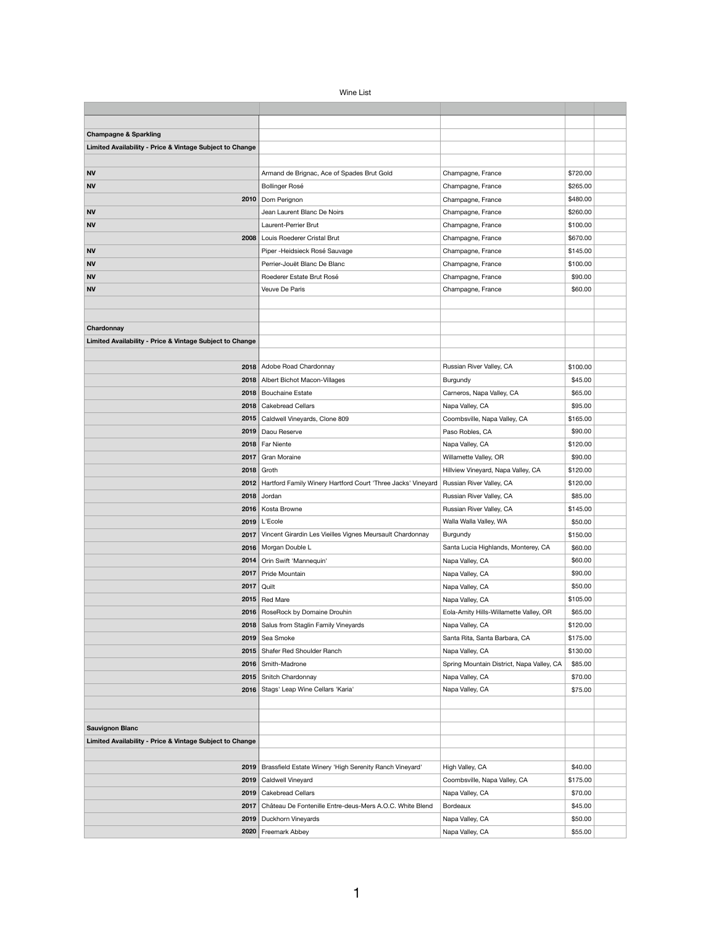| <b>Wine List</b> |  |
|------------------|--|
|------------------|--|

| <b>Champagne &amp; Sparkling</b>                         |                                                                     |                                           |          |
|----------------------------------------------------------|---------------------------------------------------------------------|-------------------------------------------|----------|
| Limited Availability - Price & Vintage Subject to Change |                                                                     |                                           |          |
|                                                          |                                                                     |                                           |          |
| <b>NV</b>                                                | Armand de Brignac, Ace of Spades Brut Gold                          | Champagne, France                         | \$720.00 |
| <b>NV</b>                                                | Bollinger Rosé                                                      | Champagne, France                         | \$265.00 |
| 2010                                                     | Dom Perignon                                                        | Champagne, France                         | \$480.00 |
| <b>NV</b>                                                | Jean Laurent Blanc De Noirs                                         | Champagne, France                         | \$260.00 |
| <b>NV</b>                                                | Laurent-Perrier Brut                                                | Champagne, France                         | \$100.00 |
| 2008                                                     | Louis Roederer Cristal Brut                                         | Champagne, France                         | \$670.00 |
| <b>NV</b>                                                | Piper - Heidsieck Rosé Sauvage                                      | Champagne, France                         | \$145.00 |
| <b>NV</b>                                                | Perrier-Jouët Blanc De Blanc                                        | Champagne, France                         | \$100.00 |
| <b>NV</b>                                                | Roederer Estate Brut Rosé                                           | Champagne, France                         | \$90.00  |
| <b>NV</b>                                                | Veuve De Paris                                                      | Champagne, France                         | \$60.00  |
|                                                          |                                                                     |                                           |          |
|                                                          |                                                                     |                                           |          |
| Chardonnay                                               |                                                                     |                                           |          |
| Limited Availability - Price & Vintage Subject to Change |                                                                     |                                           |          |
|                                                          |                                                                     |                                           |          |
|                                                          | 2018   Adobe Road Chardonnay                                        | Russian River Valley, CA                  | \$100.00 |
|                                                          | 2018   Albert Bichot Macon-Villages                                 | Burgundy                                  | \$45.00  |
|                                                          | 2018   Bouchaine Estate                                             | Carneros, Napa Valley, CA                 | \$65.00  |
|                                                          | 2018   Cakebread Cellars                                            | Napa Valley, CA                           | \$95.00  |
|                                                          | 2015   Caldwell Vineyards, Clone 809                                | Coombsville, Napa Valley, CA              | \$165.00 |
|                                                          | 2019   Daou Reserve                                                 | Paso Robles, CA                           | \$90.00  |
|                                                          | 2018   Far Niente                                                   | Napa Valley, CA                           | \$120.00 |
|                                                          | 2017 Gran Moraine                                                   | Willamette Valley, OR                     | \$90.00  |
|                                                          | $2018$ Groth                                                        | Hillview Vineyard, Napa Valley, CA        | \$120.00 |
|                                                          | 2012   Hartford Family Winery Hartford Court 'Three Jacks' Vineyard | Russian River Valley, CA                  | \$120.00 |
| 2018                                                     | Jordan                                                              | Russian River Valley, CA                  | \$85.00  |
|                                                          | 2016   Kosta Browne                                                 | Russian River Valley, CA                  | \$145.00 |
|                                                          | 2019   L'Ecole                                                      | Walla Walla Valley, WA                    | \$50.00  |
| 2017                                                     | Vincent Girardin Les Vieilles Vignes Meursault Chardonnay           | Burgundy                                  | \$150.00 |
|                                                          | 2016   Morgan Double L                                              | Santa Lucia Highlands, Monterey, CA       | \$60.00  |
|                                                          | 2014   Orin Swift 'Mannequin'                                       | Napa Valley, CA                           | \$60.00  |
| 2017                                                     | Pride Mountain                                                      | Napa Valley, CA                           | \$90.00  |
| 2017                                                     | Quilt                                                               | Napa Valley, CA                           | \$50.00  |
|                                                          | 2015   Red Mare                                                     | Napa Valley, CA                           | \$105.00 |
|                                                          | 2016   RoseRock by Domaine Drouhin                                  | Eola-Amity Hills-Willamette Valley, OR    | \$65.00  |
|                                                          | 2018   Salus from Staglin Family Vineyards                          | Napa Valley, CA                           | \$120.00 |
|                                                          | 2019 Sea Smoke                                                      | Santa Rita, Santa Barbara, CA             | \$175.00 |
|                                                          | 2015   Shafer Red Shoulder Ranch                                    | Napa Valley, CA                           | \$130.00 |
|                                                          | 2016   Smith-Madrone                                                | Spring Mountain District, Napa Valley, CA | \$85.00  |
|                                                          | 2015   Snitch Chardonnay                                            | Napa Valley, CA                           | \$70.00  |
|                                                          | 2016   Stags' Leap Wine Cellars 'Karia'                             | Napa Valley, CA                           | \$75.00  |
|                                                          |                                                                     |                                           |          |
|                                                          |                                                                     |                                           |          |
| <b>Sauvignon Blanc</b>                                   |                                                                     |                                           |          |
| Limited Availability - Price & Vintage Subject to Change |                                                                     |                                           |          |
|                                                          |                                                                     |                                           |          |
|                                                          | 2019   Brassfield Estate Winery 'High Serenity Ranch Vineyard'      | High Valley, CA                           | \$40.00  |
| 2019                                                     | <b>Caldwell Vineyard</b>                                            | Coombsville, Napa Valley, CA              | \$175.00 |
| 2019                                                     | <b>Cakebread Cellars</b>                                            | Napa Valley, CA                           | \$70.00  |
| 2017                                                     | Château De Fontenille Entre-deus-Mers A.O.C. White Blend            | <b>Bordeaux</b>                           | \$45.00  |
| 2019                                                     | <b>Duckhorn Vineyards</b>                                           | Napa Valley, CA                           | \$50.00  |
| 2020                                                     | Freemark Abbey                                                      | Napa Valley, CA                           | \$55.00  |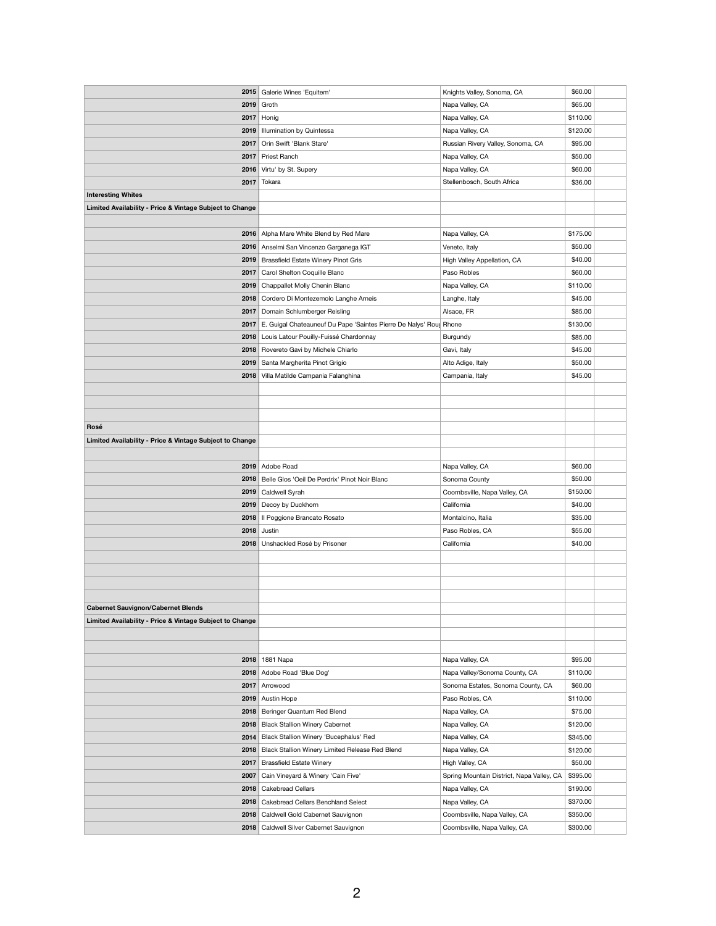|                                                          | 2015 Galerie Wines 'Equitem'                                              | Knights Valley, Sonoma, CA                | \$60.00  |
|----------------------------------------------------------|---------------------------------------------------------------------------|-------------------------------------------|----------|
|                                                          |                                                                           |                                           |          |
|                                                          | $2019$ Groth                                                              | Napa Valley, CA                           | \$65.00  |
| 2017                                                     | Honig                                                                     | Napa Valley, CA                           | \$110.00 |
|                                                          | 2019   Illumination by Quintessa                                          | Napa Valley, CA                           | \$120.00 |
|                                                          | 2017   Orin Swift 'Blank Stare'                                           | Russian Rivery Valley, Sonoma, CA         | \$95.00  |
|                                                          | 2017   Priest Ranch                                                       | Napa Valley, CA                           | \$50.00  |
|                                                          | 2016 Virtu' by St. Supery                                                 | Napa Valley, CA                           | \$60.00  |
| 2017                                                     | Tokara                                                                    | Stellenbosch, South Africa                | \$36.00  |
| <b>Interesting Whites</b>                                |                                                                           |                                           |          |
| Limited Availability - Price & Vintage Subject to Change |                                                                           |                                           |          |
|                                                          |                                                                           |                                           |          |
|                                                          | 2016   Alpha Mare White Blend by Red Mare                                 | Napa Valley, CA                           | \$175.00 |
|                                                          | 2016   Anselmi San Vincenzo Garganega IGT                                 | Veneto, Italy                             | \$50.00  |
|                                                          | 2019   Brassfield Estate Winery Pinot Gris                                | High Valley Appellation, CA               | \$40.00  |
| 2017                                                     | Carol Shelton Coquille Blanc                                              | Paso Robles                               | \$60.00  |
|                                                          | 2019   Chappallet Molly Chenin Blanc                                      | Napa Valley, CA                           | \$110.00 |
|                                                          | 2018   Cordero Di Montezemolo Langhe Arneis                               | Langhe, Italy                             | \$45.00  |
|                                                          | 2017   Domain Schlumberger Reisling                                       | Alsace, FR                                | \$85.00  |
|                                                          |                                                                           |                                           | \$130.00 |
|                                                          | 2017   E. Guigal Chateauneuf Du Pape 'Saintes Pierre De Nalys' Roug Rhone |                                           |          |
|                                                          | 2018   Louis Latour Pouilly-Fuissé Chardonnay                             | <b>Burgundy</b>                           | \$85.00  |
|                                                          | 2018   Rovereto Gavi by Michele Chiarlo                                   | Gavi, Italy                               | \$45.00  |
|                                                          | 2019   Santa Margherita Pinot Grigio                                      | Alto Adige, Italy                         | \$50.00  |
| 2018                                                     | Villa Matilde Campania Falanghina                                         | Campania, Italy                           | \$45.00  |
|                                                          |                                                                           |                                           |          |
|                                                          |                                                                           |                                           |          |
|                                                          |                                                                           |                                           |          |
| Rosé                                                     |                                                                           |                                           |          |
| Limited Availability - Price & Vintage Subject to Change |                                                                           |                                           |          |
|                                                          |                                                                           |                                           |          |
|                                                          | 2019   Adobe Road                                                         | Napa Valley, CA                           | \$60.00  |
|                                                          | 2018   Belle Glos 'Oeil De Perdrix' Pinot Noir Blanc                      | Sonoma County                             | \$50.00  |
|                                                          | 2019   Caldwell Syrah                                                     | Coombsville, Napa Valley, CA              | \$150.00 |
|                                                          | 2019 Decoy by Duckhorn                                                    | California                                | \$40.00  |
|                                                          | 2018   Il Poggione Brancato Rosato                                        | Montalcino, Italia                        | \$35.00  |
|                                                          | $2018$ Justin                                                             | Paso Robles, CA                           | \$55.00  |
|                                                          | 2018   Unshackled Rosé by Prisoner                                        | California                                | \$40.00  |
|                                                          |                                                                           |                                           |          |
|                                                          |                                                                           |                                           |          |
|                                                          |                                                                           |                                           |          |
|                                                          |                                                                           |                                           |          |
| <b>Cabernet Sauvignon/Cabernet Blends</b>                |                                                                           |                                           |          |
| Limited Availability - Price & Vintage Subject to Change |                                                                           |                                           |          |
|                                                          |                                                                           |                                           |          |
|                                                          |                                                                           |                                           |          |
|                                                          |                                                                           |                                           |          |
|                                                          | 2018 1881 Napa                                                            | Napa Valley, CA                           | \$95.00  |
|                                                          | 2018   Adobe Road 'Blue Dog'                                              | Napa Valley/Sonoma County, CA             | \$110.00 |
| 2017                                                     | Arrowood                                                                  | Sonoma Estates, Sonoma County, CA         | \$60.00  |
|                                                          | 2019 Austin Hope                                                          | Paso Robles, CA                           | \$110.00 |
|                                                          | 2018   Beringer Quantum Red Blend                                         | Napa Valley, CA                           | \$75.00  |
|                                                          | 2018   Black Stallion Winery Cabernet                                     | Napa Valley, CA                           | \$120.00 |
|                                                          |                                                                           |                                           | \$345.00 |
|                                                          | 2014   Black Stallion Winery 'Bucephalus' Red                             | Napa Valley, CA                           |          |
|                                                          | 2018   Black Stallion Winery Limited Release Red Blend                    | Napa Valley, CA                           | \$120.00 |
| 2017                                                     | <b>Brassfield Estate Winery</b>                                           | High Valley, CA                           | \$50.00  |
| 2007                                                     | Cain Vineyard & Winery 'Cain Five'                                        | Spring Mountain District, Napa Valley, CA | \$395.00 |
|                                                          | 2018   Cakebread Cellars                                                  | Napa Valley, CA                           | \$190.00 |
|                                                          | 2018   Cakebread Cellars Benchland Select                                 | Napa Valley, CA                           | \$370.00 |
|                                                          | 2018   Caldwell Gold Cabernet Sauvignon                                   | Coombsville, Napa Valley, CA              | \$350.00 |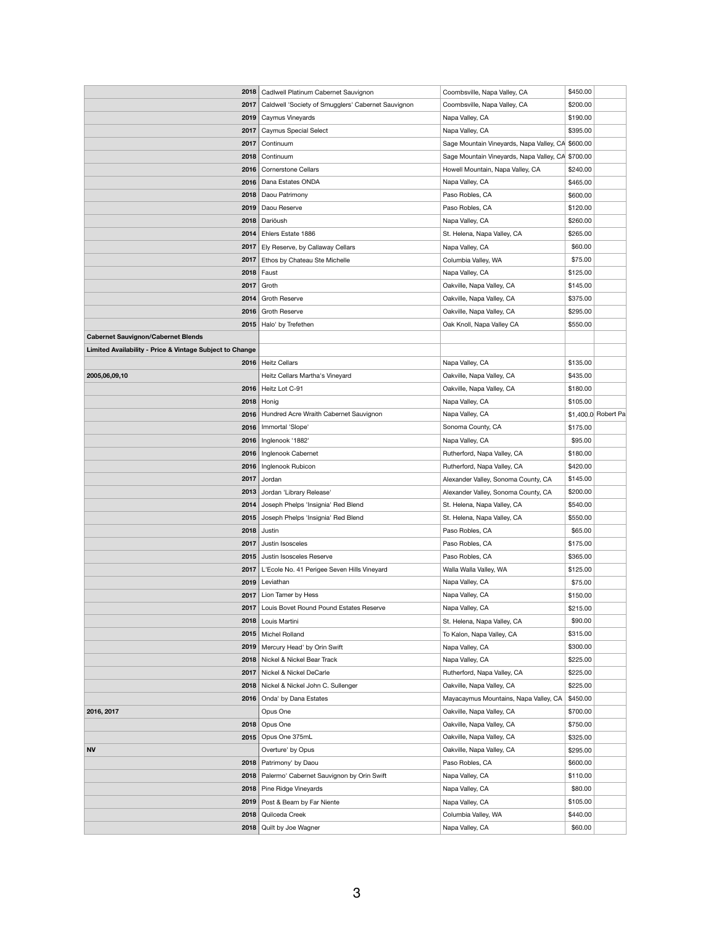| 2018                                                     | Cadlwell Platinum Cabernet Sauvignon               | Coombsville, Napa Valley, CA                      | \$450.00            |
|----------------------------------------------------------|----------------------------------------------------|---------------------------------------------------|---------------------|
| 2017                                                     | Caldwell 'Society of Smugglers' Cabernet Sauvignon | Coombsville, Napa Valley, CA                      | \$200.00            |
| 2019                                                     | Caymus Vineyards                                   | Napa Valley, CA                                   | \$190.00            |
| 2017                                                     | <b>Caymus Special Select</b>                       | Napa Valley, CA                                   | \$395.00            |
| 2017                                                     | Continuum                                          | Sage Mountain Vineyards, Napa Valley, CA \$600.00 |                     |
| 2018                                                     | Continuum                                          | Sage Mountain Vineyards, Napa Valley, CA \$700.00 |                     |
|                                                          | 2016   Cornerstone Cellars                         | Howell Mountain, Napa Valley, CA                  | \$240.00            |
| 2016                                                     | Dana Estates ONDA                                  | Napa Valley, CA                                   | \$465.00            |
| 2018                                                     | Daou Patrimony                                     | Paso Robles, CA                                   | \$600.00            |
| 2019                                                     | Daou Reserve                                       | Paso Robles, CA                                   | \$120.00            |
| 2018                                                     | Dariōush                                           | Napa Valley, CA                                   | \$260.00            |
|                                                          |                                                    |                                                   |                     |
|                                                          | 2014   Ehlers Estate 1886                          | St. Helena, Napa Valley, CA                       | \$265.00            |
| 2017                                                     | Ely Reserve, by Callaway Cellars                   | Napa Valley, CA                                   | \$60.00             |
|                                                          | 2017   Ethos by Chateau Ste Michelle               | Columbia Valley, WA                               | \$75.00             |
| 2018                                                     | Faust                                              | Napa Valley, CA                                   | \$125.00            |
| 2017                                                     | Groth                                              | Oakville, Napa Valley, CA                         | \$145.00            |
|                                                          | 2014   Groth Reserve                               | Oakville, Napa Valley, CA                         | \$375.00            |
|                                                          | 2016   Groth Reserve                               | Oakville, Napa Valley, CA                         | \$295.00            |
| 2015                                                     | Halo' by Trefethen                                 | Oak Knoll, Napa Valley CA                         | \$550.00            |
| <b>Cabernet Sauvignon/Cabernet Blends</b>                |                                                    |                                                   |                     |
| Limited Availability - Price & Vintage Subject to Change |                                                    |                                                   |                     |
|                                                          | 2016   Heitz Cellars                               | Napa Valley, CA                                   | \$135.00            |
| 2005,06,09,10                                            | Heitz Cellars Martha's Vineyard                    | Oakville, Napa Valley, CA                         | \$435.00            |
| 2016                                                     | Heitz Lot C-91                                     | Oakville, Napa Valley, CA                         | \$180.00            |
| 2018                                                     | Honig                                              | Napa Valley, CA                                   | \$105.00            |
| 2016                                                     | Hundred Acre Wraith Cabernet Sauvignon             | Napa Valley, CA                                   | \$1,400.0 Robert Pa |
| 2016                                                     | Immortal 'Slope'                                   | Sonoma County, CA                                 | \$175.00            |
|                                                          | 2016   Inglenook '1882'                            | Napa Valley, CA                                   | \$95.00             |
|                                                          | 2016   Inglenook Cabernet                          | Rutherford, Napa Valley, CA                       | \$180.00            |
|                                                          | 2016   Inglenook Rubicon                           | Rutherford, Napa Valley, CA                       | \$420.00            |
| 2017                                                     | Jordan                                             | Alexander Valley, Sonoma County, CA               | \$145.00            |
| 2013                                                     | Jordan 'Library Release'                           | Alexander Valley, Sonoma County, CA               | \$200.00            |
| 2014                                                     | Joseph Phelps 'Insignia' Red Blend                 | St. Helena, Napa Valley, CA                       | \$540.00            |
| 2015                                                     | Joseph Phelps 'Insignia' Red Blend                 | St. Helena, Napa Valley, CA                       | \$550.00            |
|                                                          | $2018$ Justin                                      | Paso Robles, CA                                   | \$65.00             |
| 2017                                                     | Justin Isosceles                                   | Paso Robles, CA                                   | \$175.00            |
|                                                          | 2015 Justin Isosceles Reserve                      | Paso Robles, CA                                   | \$365.00            |
| 2017                                                     | L'Ecole No. 41 Perigee Seven Hills Vineyard        | Walla Walla Valley, WA                            | \$125.00            |
| 2019                                                     | Leviathan                                          | Napa Valley, CA                                   | \$75.00             |
| 2017                                                     | Lion Tamer by Hess                                 | Napa Valley, CA                                   | \$150.00            |
| 2017                                                     | Louis Bovet Round Pound Estates Reserve            | Napa Valley, CA                                   | \$215.00            |
|                                                          | 2018   Louis Martini                               |                                                   | \$90.00             |
|                                                          |                                                    | St. Helena, Napa Valley, CA                       |                     |
|                                                          | 2015   Michel Rolland                              | To Kalon, Napa Valley, CA                         | \$315.00            |
|                                                          | 2019   Mercury Head' by Orin Swift                 | Napa Valley, CA                                   | \$300.00            |
|                                                          | 2018   Nickel & Nickel Bear Track                  | Napa Valley, CA                                   | \$225.00            |
| 2017                                                     | Nickel & Nickel DeCarle                            | Rutherford, Napa Valley, CA                       | \$225.00            |
| 2018                                                     | Nickel & Nickel John C. Sullenger                  | Oakville, Napa Valley, CA                         | \$225.00            |
|                                                          | 2016   Onda' by Dana Estates                       | Mayacaymus Mountains, Napa Valley, CA             | \$450.00            |
| 2016, 2017                                               | Opus One                                           | Oakville, Napa Valley, CA                         | \$700.00            |
|                                                          | $2018$ Opus One                                    | Oakville, Napa Valley, CA                         | \$750.00            |
|                                                          | 2015   Opus One 375mL                              | Oakville, Napa Valley, CA                         | \$325.00            |
| <b>NV</b>                                                | Overture' by Opus                                  | Oakville, Napa Valley, CA                         | \$295.00            |
| 2018                                                     | Patrimony' by Daou                                 | Paso Robles, CA                                   | \$600.00            |
| 2018                                                     | Palermo' Cabernet Sauvignon by Orin Swift          | Napa Valley, CA                                   | \$110.00            |
| 2018                                                     | Pine Ridge Vineyards                               | Napa Valley, CA                                   | \$80.00             |
| 2019                                                     | Post & Beam by Far Niente                          | Napa Valley, CA                                   | \$105.00            |
|                                                          | 2018   Quilceda Creek                              | Columbia Valley, WA                               | \$440.00            |
|                                                          | 2018   Quilt by Joe Wagner                         | Napa Valley, CA                                   | \$60.00             |
|                                                          |                                                    |                                                   |                     |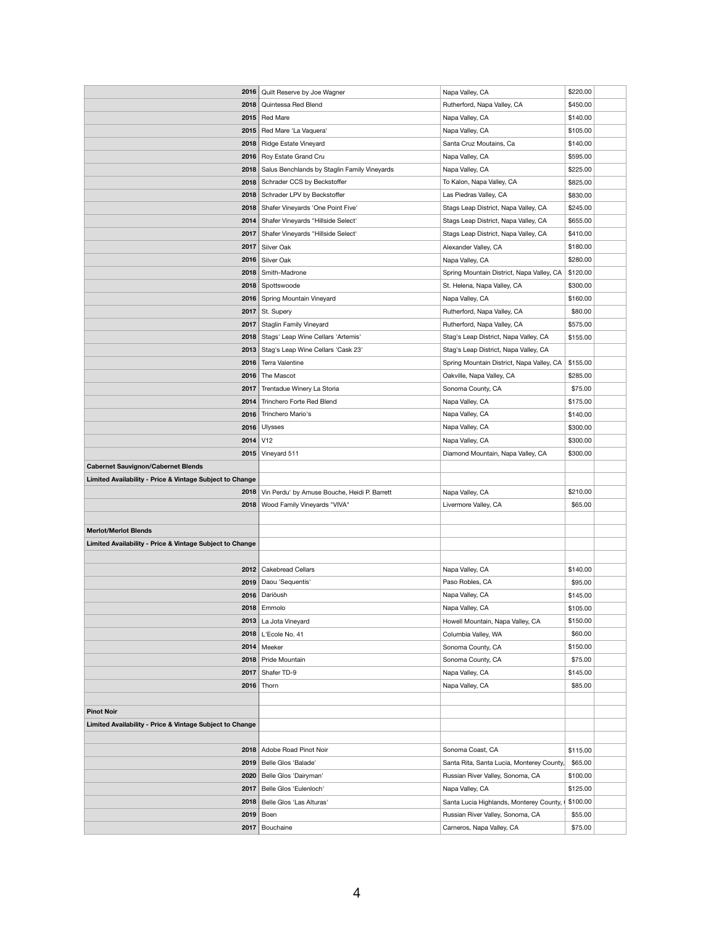| 2016                                                     | Quilt Reserve by Joe Wagner                         | Napa Valley, CA                           | \$220.00 |
|----------------------------------------------------------|-----------------------------------------------------|-------------------------------------------|----------|
|                                                          | 2018   Quintessa Red Blend                          | Rutherford, Napa Valley, CA               | \$450.00 |
|                                                          | 2015   Red Mare                                     | Napa Valley, CA                           | \$140.00 |
|                                                          | 2015   Red Mare 'La Vaquera'                        | Napa Valley, CA                           | \$105.00 |
|                                                          | 2018   Ridge Estate Vineyard                        | Santa Cruz Moutains, Ca                   | \$140.00 |
|                                                          | 2016   Roy Estate Grand Cru                         | Napa Valley, CA                           | \$595.00 |
|                                                          | 2018   Salus Benchlands by Staglin Family Vineyards | Napa Valley, CA                           | \$225.00 |
|                                                          | 2018   Schrader CCS by Beckstoffer                  | To Kalon, Napa Valley, CA                 | \$825.00 |
|                                                          | 2018   Schrader LPV by Beckstoffer                  | Las Piedras Valley, CA                    | \$830.00 |
|                                                          | 2018   Shafer Vineyards 'One Point Five'            | Stags Leap District, Napa Valley, CA      | \$245.00 |
|                                                          | 2014   Shafer Vineyards "Hillside Select"           | Stags Leap District, Napa Valley, CA      | \$655.00 |
| 2017                                                     | Shafer Vineyards "Hillside Select"                  | Stags Leap District, Napa Valley, CA      | \$410.00 |
| 2017                                                     | Silver Oak                                          | Alexander Valley, CA                      | \$180.00 |
|                                                          | 2016 Silver Oak                                     | Napa Valley, CA                           | \$280.00 |
| 2018                                                     | Smith-Madrone                                       | Spring Mountain District, Napa Valley, CA | \$120.00 |
|                                                          | 2018   Spottswoode                                  | St. Helena, Napa Valley, CA               | \$300.00 |
|                                                          | 2016   Spring Mountain Vineyard                     | Napa Valley, CA                           | \$160.00 |
| 2017                                                     | St. Supery                                          | Rutherford, Napa Valley, CA               | \$80.00  |
| 2017                                                     | <b>Staglin Family Vineyard</b>                      | Rutherford, Napa Valley, CA               | \$575.00 |
|                                                          | 2018   Stags' Leap Wine Cellars 'Artemis'           | Stag's Leap District, Napa Valley, CA     | \$155.00 |
| 2013                                                     | Stag's Leap Wine Cellars 'Cask 23'                  | Stag's Leap District, Napa Valley, CA     |          |
| 2016                                                     | Terra Valentine                                     | Spring Mountain District, Napa Valley, CA | \$155.00 |
| 2016                                                     | The Mascot                                          | Oakville, Napa Valley, CA                 | \$285.00 |
| 2017                                                     | Trentadue Winery La Storia                          | Sonoma County, CA                         | \$75.00  |
| 2014                                                     | Trinchero Forte Red Blend                           | Napa Valley, CA                           | \$175.00 |
| 2016                                                     | Trinchero Mario's                                   | Napa Valley, CA                           | \$140.00 |
| 2016                                                     | <b>Ulysses</b>                                      | Napa Valley, CA                           | \$300.00 |
| $2014$ $V12$                                             |                                                     | Napa Valley, CA                           | \$300.00 |
|                                                          | 2015 Vineyard 511                                   | Diamond Mountain, Napa Valley, CA         | \$300.00 |
| <b>Cabernet Sauvignon/Cabernet Blends</b>                |                                                     |                                           |          |
| Limited Availability - Price & Vintage Subject to Change |                                                     |                                           |          |
| 2018                                                     | Vin Perdu' by Amuse Bouche, Heidi P. Barrett        | Napa Valley, CA                           | \$210.00 |
|                                                          | 2018   Wood Family Vineyards "VIVA"                 | Livermore Valley, CA                      | \$65.00  |
|                                                          |                                                     |                                           |          |
| <b>Merlot/Merlot Blends</b>                              |                                                     |                                           |          |
| Limited Availability - Price & Vintage Subject to Change |                                                     |                                           |          |
|                                                          |                                                     |                                           |          |
| 2012                                                     | <b>Cakebread Cellars</b>                            | Napa Valley, CA                           | \$140.00 |
|                                                          | 2019   Daou 'Sequentis'                             | Paso Robles, CA                           | \$95.00  |
|                                                          | 2016 Darioush                                       | Napa Valley, CA                           | \$145.00 |
|                                                          | $2018$ Emmolo                                       | Napa Valley, CA                           | \$105.00 |
| 2013                                                     | La Jota Vineyard                                    | Howell Mountain, Napa Valley, CA          | \$150.00 |
|                                                          | 2018   L'Ecole No. 41                               | Columbia Valley, WA                       | \$60.00  |
|                                                          | $2014$ Meeker                                       | Sonoma County, CA                         | \$150.00 |
|                                                          | 2018   Pride Mountain                               | Sonoma County, CA                         | \$75.00  |
|                                                          | 2017   Shafer TD-9                                  | Napa Valley, CA                           | \$145.00 |
| $2016$ Thorn                                             |                                                     | Napa Valley, CA                           | \$85.00  |
|                                                          |                                                     |                                           |          |
| <b>Pinot Noir</b>                                        |                                                     |                                           |          |
| Limited Availability - Price & Vintage Subject to Change |                                                     |                                           |          |
|                                                          |                                                     |                                           |          |
| 2018                                                     | Adobe Road Pinot Noir                               | Sonoma Coast, CA                          | \$115.00 |
| 2019                                                     | Belle Glos 'Balade'                                 | Santa Rita, Santa Lucia, Monterey County, | \$65.00  |
| 2020                                                     |                                                     |                                           |          |
|                                                          | Belle Glos 'Dairyman'                               | Russian River Valley, Sonoma, CA          | \$100.00 |
| 2017                                                     | Belle Glos 'Eulenloch'                              | Napa Valley, CA                           | \$125.00 |
| 2018                                                     | Belle Glos 'Las Alturas'                            | Santa Lucia Highlands, Monterey County,   | \$100.00 |
| $2019$ Boen                                              |                                                     | Russian River Valley, Sonoma, CA          | \$55.00  |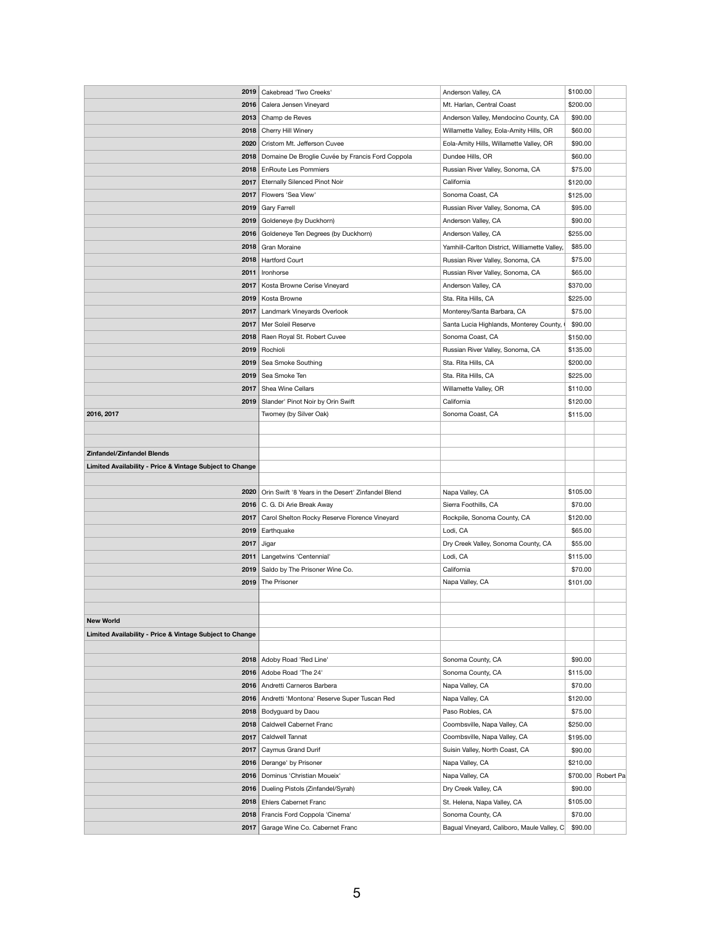| 2019                                                                                          | Cakebread 'Two Creeks'<br>Anderson Valley, CA                                       | \$100.00           |  |
|-----------------------------------------------------------------------------------------------|-------------------------------------------------------------------------------------|--------------------|--|
|                                                                                               | Mt. Harlan, Central Coast<br>2016   Calera Jensen Vineyard                          | \$200.00           |  |
| 2013                                                                                          | Anderson Valley, Mendocino County, CA<br>Champ de Reves                             | \$90.00            |  |
| 2018                                                                                          | Cherry Hill Winery<br>Willamette Valley, Eola-Amity Hills, OR                       | \$60.00            |  |
| 2020                                                                                          | Cristom Mt. Jefferson Cuvee<br>Eola-Amity Hills, Willamette Valley, OR              | \$90.00            |  |
| 2018                                                                                          | Domaine De Broglie Cuvée by Francis Ford Coppola<br>Dundee Hills, OR                | \$60.00            |  |
|                                                                                               | 2018   EnRoute Les Pommiers<br>Russian River Valley, Sonoma, CA                     | \$75.00            |  |
|                                                                                               | California                                                                          |                    |  |
|                                                                                               | 2017   Eternally Silenced Pinot Noir                                                | \$120.00           |  |
| 2017                                                                                          | Flowers 'Sea View'<br>Sonoma Coast, CA                                              | \$125.00           |  |
| 2019                                                                                          | <b>Gary Farrell</b><br>Russian River Valley, Sonoma, CA                             | \$95.00            |  |
| 2019                                                                                          | Goldeneye (by Duckhorn)<br>Anderson Valley, CA                                      | \$90.00            |  |
| 2016                                                                                          | Anderson Valley, CA<br>Goldeneye Ten Degrees (by Duckhorn)                          | \$255.00           |  |
|                                                                                               | 2018   Gran Moraine<br>Yamhill-Carlton District, Williamette Valley,                | \$85.00            |  |
|                                                                                               | Russian River Valley, Sonoma, CA<br>2018   Hartford Court                           | \$75.00            |  |
| 2011                                                                                          | Russian River Valley, Sonoma, CA<br>Ironhorse                                       | \$65.00            |  |
| 2017                                                                                          | Kosta Browne Cerise Vineyard<br>Anderson Valley, CA                                 | \$370.00           |  |
| 2019                                                                                          | Kosta Browne<br>Sta. Rita Hills, CA                                                 | \$225.00           |  |
| 2017                                                                                          | Monterey/Santa Barbara, CA<br>Landmark Vineyards Overlook                           | \$75.00            |  |
| 2017                                                                                          | Mer Soleil Reserve<br>Santa Lucia Highlands, Monterey County,                       | \$90.00            |  |
|                                                                                               | Sonoma Coast, CA<br>2018   Raen Royal St. Robert Cuvee                              | \$150.00           |  |
|                                                                                               |                                                                                     |                    |  |
|                                                                                               | 2019   Rochioli<br>Russian River Valley, Sonoma, CA                                 | \$135.00           |  |
|                                                                                               | Sta. Rita Hills, CA<br>2019   Sea Smoke Southing                                    | \$200.00           |  |
| 2019                                                                                          | Sea Smoke Ten<br>Sta. Rita Hills, CA                                                | \$225.00           |  |
|                                                                                               | Willamette Valley, OR<br>2017   Shea Wine Cellars                                   | \$110.00           |  |
|                                                                                               | California<br>2019   Slander' Pinot Noir by Orin Swift                              | \$120.00           |  |
| 2016, 2017                                                                                    | Twomey (by Silver Oak)<br>Sonoma Coast, CA                                          | \$115.00           |  |
|                                                                                               |                                                                                     |                    |  |
|                                                                                               |                                                                                     |                    |  |
| <b>Zinfandel/Zinfandel Blends</b><br>Limited Availability - Price & Vintage Subject to Change |                                                                                     |                    |  |
| 2020                                                                                          | Orin Swift '8 Years in the Desert' Zinfandel Blend<br>Napa Valley, CA               | \$105.00           |  |
|                                                                                               | Sierra Foothills, CA<br>2016   C. G. Di Arie Break Away                             | \$70.00            |  |
|                                                                                               | 2017   Carol Shelton Rocky Reserve Florence Vineyard<br>Rockpile, Sonoma County, CA | \$120.00           |  |
|                                                                                               | 2019 Earthquake<br>Lodi, CA                                                         | \$65.00            |  |
| 2017                                                                                          | Dry Creek Valley, Sonoma County, CA<br>Jigar                                        | \$55.00            |  |
|                                                                                               | Lodi, CA                                                                            |                    |  |
| 2011                                                                                          | Langetwins 'Centennial'                                                             | \$115.00           |  |
|                                                                                               | 2019   Saldo by The Prisoner Wine Co.<br>California                                 | \$70.00            |  |
| 2019                                                                                          | The Prisoner<br>Napa Valley, CA                                                     | \$101.00           |  |
|                                                                                               |                                                                                     |                    |  |
|                                                                                               |                                                                                     |                    |  |
| <b>New World</b>                                                                              |                                                                                     |                    |  |
| Limited Availability - Price & Vintage Subject to Change                                      |                                                                                     |                    |  |
|                                                                                               |                                                                                     |                    |  |
|                                                                                               | 2018   Adoby Road 'Red Line'<br>Sonoma County, CA                                   | \$90.00            |  |
|                                                                                               | 2016 Adobe Road 'The 24'<br>Sonoma County, CA                                       | \$115.00           |  |
|                                                                                               | 2016 Andretti Carneros Barbera<br>Napa Valley, CA                                   | \$70.00            |  |
| 2016                                                                                          | Andretti 'Montona' Reserve Super Tuscan Red<br>Napa Valley, CA                      | \$120.00           |  |
|                                                                                               | 2018   Bodyguard by Daou<br>Paso Robles, CA                                         | \$75.00            |  |
| 2018                                                                                          | <b>Caldwell Cabernet Franc</b><br>Coombsville, Napa Valley, CA                      | \$250.00           |  |
| 2017                                                                                          | Caldwell Tannat<br>Coombsville, Napa Valley, CA                                     | \$195.00           |  |
| 2017                                                                                          | Caymus Grand Durif<br>Suisin Valley, North Coast, CA                                | \$90.00            |  |
| 2016                                                                                          | Derange' by Prisoner<br>Napa Valley, CA                                             | \$210.00           |  |
| 2016                                                                                          | Dominus 'Christian Moueix'<br>Napa Valley, CA                                       | \$700.00 Robert Pa |  |
|                                                                                               | Dry Creek Valley, CA<br>2016   Dueling Pistols (Zinfandel/Syrah)                    | \$90.00            |  |
|                                                                                               | 2018   Ehlers Cabernet Franc<br>St. Helena, Napa Valley, CA                         | \$105.00           |  |
|                                                                                               |                                                                                     |                    |  |
|                                                                                               | 2018   Francis Ford Coppola 'Cinema'<br>Sonoma County, CA                           | \$70.00            |  |
|                                                                                               | Bagual Vineyard, Caliboro, Maule Valley, C<br>2017   Garage Wine Co. Cabernet Franc | \$90.00            |  |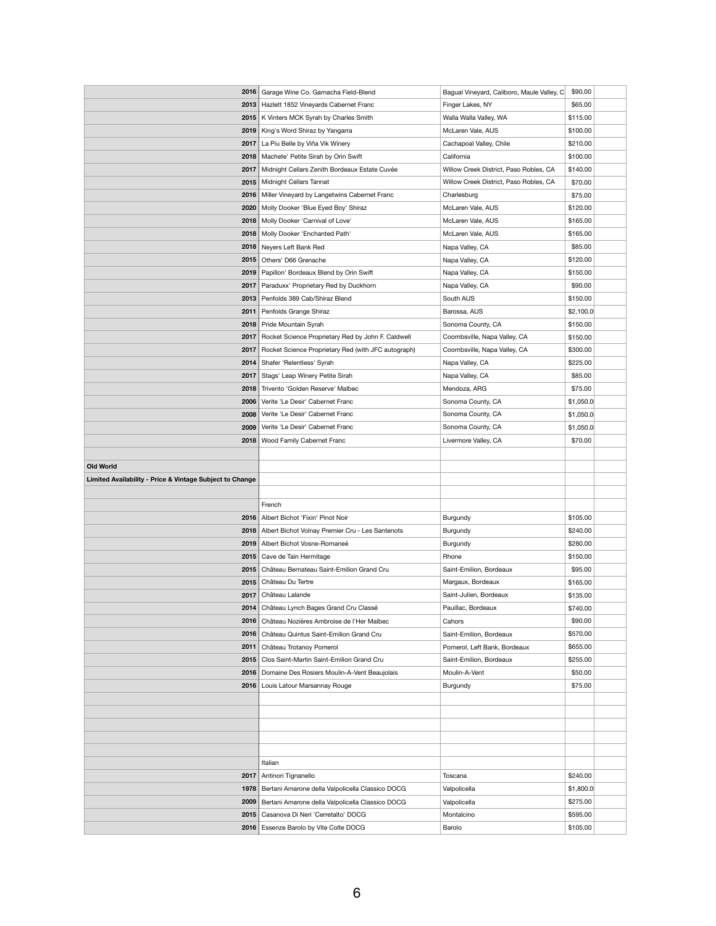| 2016                                                     | Garage Wine Co. Garnacha Field-Blend<br>Bagual Vineyard, Caliboro, Maule Valley, C                     | \$90.00              |
|----------------------------------------------------------|--------------------------------------------------------------------------------------------------------|----------------------|
|                                                          | 2013   Hazlett 1852 Vineyards Cabernet Franc<br>Finger Lakes, NY                                       | \$65.00              |
|                                                          | 2015   K Vinters MCK Syrah by Charles Smith<br>Walla Walla Valley, WA                                  | \$115.00             |
| 2019                                                     | King's Word Shiraz by Yangarra<br>McLaren Vale, AUS                                                    | \$100.00             |
| 2017                                                     | La Piu Belle by Viña Vik Winery<br>Cachapoal Valley, Chile                                             | \$210.00             |
|                                                          |                                                                                                        |                      |
| 2018                                                     | Machete' Petite Sirah by Orin Swift<br>California                                                      | \$100.00             |
| 2017                                                     | Midnight Cellars Zenith Bordeaux Estate Cuvée<br>Willow Creek District, Paso Robles, CA                | \$140.00             |
| 2015                                                     | Midnight Cellars Tannat<br>Willow Creek District, Paso Robles, CA                                      | \$70.00              |
| 2016                                                     | Miller Vineyard by Langetwins Cabernet Franc<br>Charlesburg                                            | \$75.00              |
| 2020                                                     | Molly Dooker 'Blue Eyed Boy' Shiraz<br>McLaren Vale, AUS                                               | \$120.00             |
| 2018                                                     | Molly Dooker 'Carnival of Love'<br>McLaren Vale, AUS                                                   | \$165.00             |
| 2018                                                     | Molly Dooker 'Enchanted Path'<br>McLaren Vale, AUS                                                     | \$165.00             |
|                                                          | 2018   Neyers Left Bank Red<br>Napa Valley, CA                                                         | \$85.00              |
|                                                          | 2015 Others' D66 Grenache<br>Napa Valley, CA                                                           | \$120.00             |
|                                                          | 2019   Papillon' Bordeaux Blend by Orin Swift<br>Napa Valley, CA                                       | \$150.00             |
|                                                          | 2017   Paraduxx' Proprietary Red by Duckhorn<br>Napa Valley, CA                                        | \$90.00              |
|                                                          | South AUS<br>2013 Penfolds 389 Cab/Shiraz Blend                                                        | \$150.00             |
| 2011                                                     | Penfolds Grange Shiraz<br>Barossa, AUS                                                                 | \$2,100.0            |
|                                                          | 2018   Pride Mountain Syrah<br>Sonoma County, CA                                                       | \$150.00             |
|                                                          | 2017   Rocket Science Proprietary Red by John F. Caldwell<br>Coombsville, Napa Valley, CA              | \$150.00             |
| 2017                                                     | Rocket Science Proprietary Red (with JFC autograph)<br>Coombsville, Napa Valley, CA                    | \$300.00             |
|                                                          | 2014   Shafer 'Relentless' Syrah<br>Napa Valley, CA                                                    | \$225.00             |
|                                                          | 2017   Stags' Leap Winery Petite Sirah<br>Napa Valley, CA                                              | \$85.00              |
| 2018                                                     | Trivento 'Golden Reserve' Malbec<br>Mendoza, ARG                                                       | \$75.00              |
| 2006                                                     | Verite 'Le Desir' Cabernet Franc<br>Sonoma County, CA                                                  | \$1,050.0            |
| 2008                                                     | Verite 'Le Desir' Cabernet Franc<br>Sonoma County, CA                                                  | \$1,050.0            |
|                                                          | Verite 'Le Desir' Cabernet Franc<br>Sonoma County, CA                                                  |                      |
| 2009                                                     |                                                                                                        | \$1,050.0            |
| 2018                                                     | Wood Family Cabernet Franc<br>Livermore Valley, CA                                                     | \$70.00              |
|                                                          |                                                                                                        |                      |
| <b>Old World</b>                                         |                                                                                                        |                      |
| Limited Availability - Price & Vintage Subject to Change |                                                                                                        |                      |
|                                                          |                                                                                                        |                      |
|                                                          |                                                                                                        |                      |
|                                                          | French                                                                                                 |                      |
|                                                          | 2016   Albert Bichot 'Fixin' Pinot Noir<br>Burgundy                                                    | \$105.00             |
|                                                          | 2018   Albert Bichot Volnay Premier Cru - Les Santenots<br>Burgundy                                    | \$240.00             |
|                                                          | 2019 Albert Bichot Vosne-Romaneé<br><b>Burgundy</b>                                                    | \$280.00             |
|                                                          | 2015   Cave de Tain Hermitage<br>Rhone                                                                 | \$150.00             |
|                                                          | 2015   Château Bernateau Saint-Emilion Grand Cru<br>Saint-Emilion, Bordeaux                            | \$95.00              |
|                                                          | 2015   Château Du Tertre<br>Margaux, Bordeaux                                                          | \$165.00             |
| 2017                                                     | Château Lalande<br>Saint-Julien, Bordeaux                                                              | \$135.00             |
|                                                          | 2014   Château Lynch Bages Grand Cru Classé<br>Pauillac, Bordeaux                                      | \$740.00             |
|                                                          | 2016   Château Nozières Ambroise de l'Her Malbec<br>Cahors                                             | \$90.00              |
|                                                          | 2016   Château Quintus Saint-Emilion Grand Cru<br>Saint-Emilion, Bordeaux                              | \$570.00             |
|                                                          | 2011   Château Trotanoy Pomerol<br>Pomerol, Left Bank, Bordeaux                                        | \$655.00             |
|                                                          | 2015   Clos Saint-Martin Saint-Emilion Grand Cru<br>Saint-Emilion, Bordeaux                            | \$255.00             |
|                                                          | Moulin-A-Vent<br>2016   Domaine Des Rosiers Moulin-A-Vent Beaujolais                                   | \$50.00              |
|                                                          |                                                                                                        |                      |
| 2016                                                     | Louis Latour Marsannay Rouge<br><b>Burgundy</b>                                                        | \$75.00              |
|                                                          |                                                                                                        |                      |
|                                                          |                                                                                                        |                      |
|                                                          |                                                                                                        |                      |
|                                                          |                                                                                                        |                      |
|                                                          |                                                                                                        |                      |
|                                                          | Italian                                                                                                |                      |
| 2017                                                     | Antinori Tignanello<br>Toscana                                                                         | \$240.00             |
| 1978                                                     | Bertani Amarone della Valpolicella Classico DOCG<br>Valpolicella                                       | \$1,800.0            |
| 2009                                                     | Bertani Amarone della Valpolicella Classico DOCG<br>Valpolicella                                       | \$275.00             |
| 2015                                                     | Casanova Di Neri 'Cerretalto' DOCG<br>Montalcino<br>2016   Essenze Barolo by Vite Colte DOCG<br>Barolo | \$595.00<br>\$105.00 |